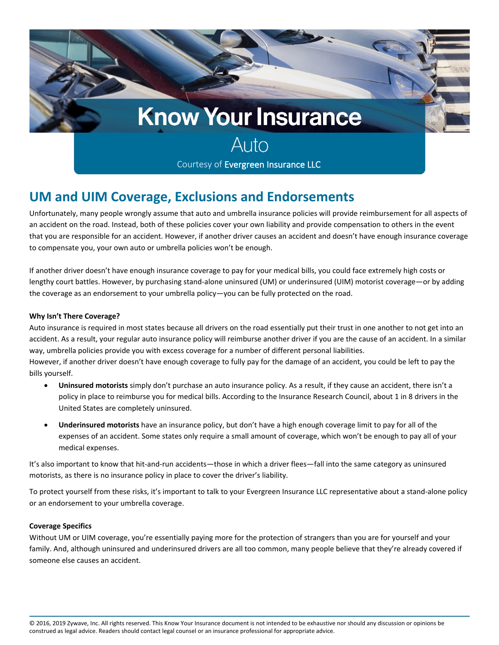

## **UM and UIM Coverage, Exclusions and Endorsements**

Unfortunately, many people wrongly assume that auto and umbrella insurance policies will provide reimbursement for all aspects of an accident on the road. Instead, both of these policies cover your own liability and provide compensation to others in the event that you are responsible for an accident. However, if another driver causes an accident and doesn't have enough insurance coverage to compensate you, your own auto or umbrella policies won't be enough.

If another driver doesn't have enough insurance coverage to pay for your medical bills, you could face extremely high costs or lengthy court battles. However, by purchasing stand-alone uninsured (UM) or underinsured (UIM) motorist coverage—or by adding the coverage as an endorsement to your umbrella policy—you can be fully protected on the road.

## **Why Isn't There Coverage?**

Auto insurance is required in most states because all drivers on the road essentially put their trust in one another to not get into an accident. As a result, your regular auto insurance policy will reimburse another driver if you are the cause of an accident. In a similar way, umbrella policies provide you with excess coverage for a number of different personal liabilities.

However, if another driver doesn't have enough coverage to fully pay for the damage of an accident, you could be left to pay the bills yourself.

- **Uninsured motorists** simply don't purchase an auto insurance policy. As a result, if they cause an accident, there isn't a policy in place to reimburse you for medical bills. According to the Insurance Research Council, about 1 in 8 drivers in the United States are completely uninsured.
- **Underinsured motorists** have an insurance policy, but don't have a high enough coverage limit to pay for all of the expenses of an accident. Some states only require a small amount of coverage, which won't be enough to pay all of your medical expenses.

It's also important to know that hit-and-run accidents—those in which a driver flees—fall into the same category as uninsured motorists, as there is no insurance policy in place to cover the driver's liability.

To protect yourself from these risks, it's important to talk to your Evergreen Insurance LLC representative about a stand-alone policy or an endorsement to your umbrella coverage.

## **Coverage Specifics**

Without UM or UIM coverage, you're essentially paying more for the protection of strangers than you are for yourself and your family. And, although uninsured and underinsured drivers are all too common, many people believe that they're already covered if someone else causes an accident.